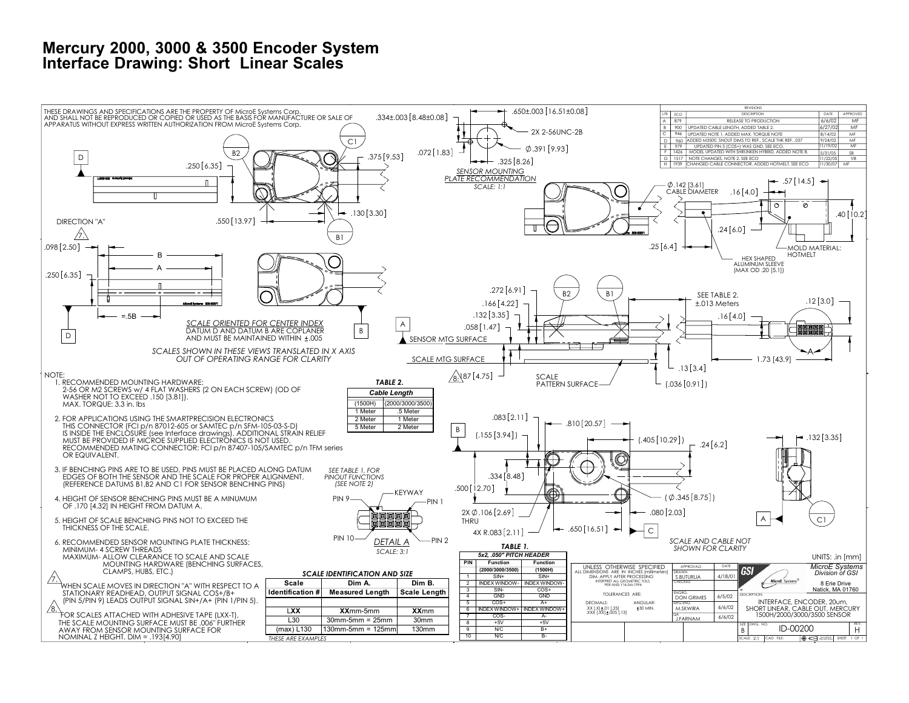## **Mercury 2000, 3000 & 3500 Encoder System Interface Drawing: Short Linear Scales**

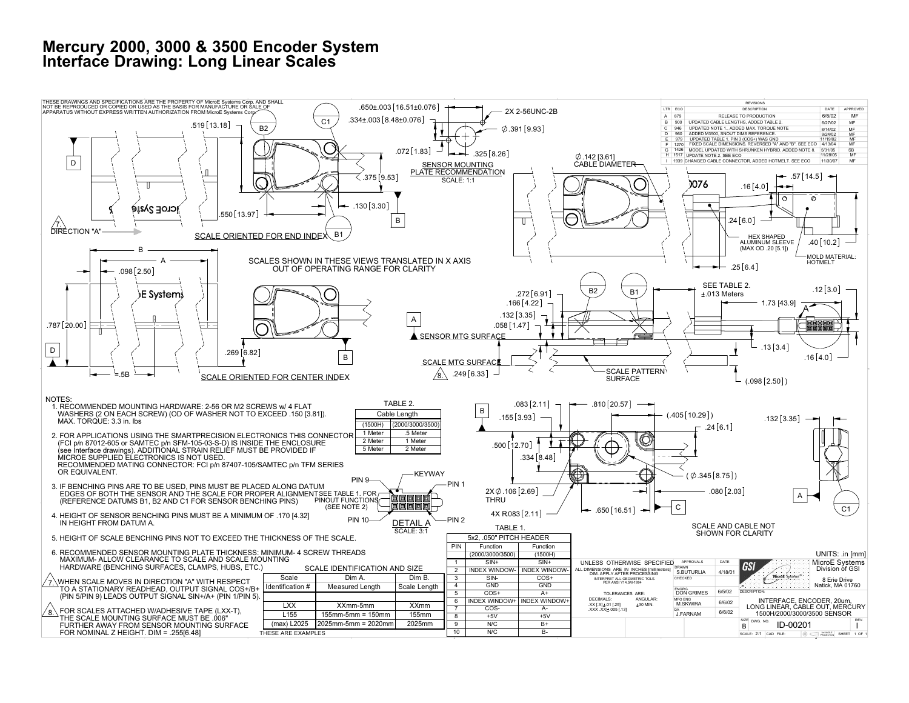## **Mercury 2000, 3000 & 3500 Encoder System Interface Drawing: Long Linear Scales**

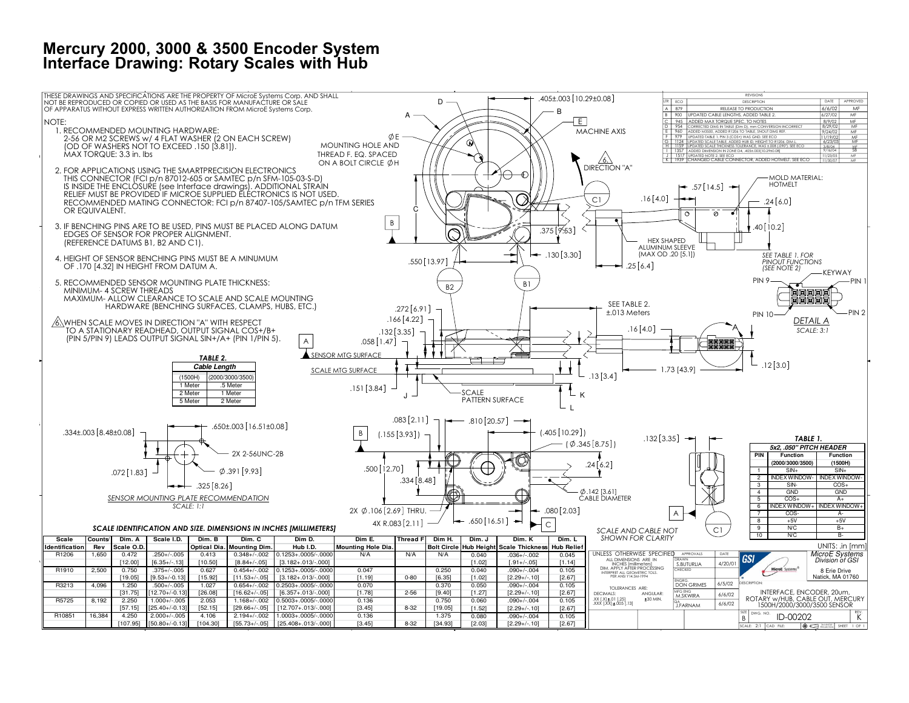## **Mercury 2000, 3000 & 3500 Encoder System Interface Drawing: Rotary Scales with Hub**